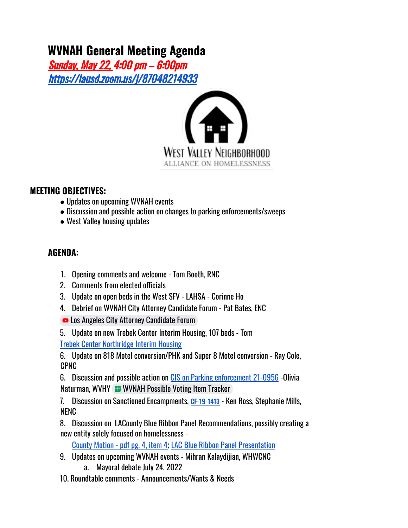## **WVNAH General Meeting Agenda**

Sunday, May 22, 4:00 pm – 6:00pm https://lausd.zoom.us/j/87048214933



## **MEETING OBJECTIVES:**

- Updates on upcoming WVNAH events
- Discussion and possible action on changes to parking enforcements/sweeps
- West Valley housing updates

## **AGENDA:**

- 1. Opening comments and welcome Tom Booth, RNC
- 2. Comments from elected officials
- 3. Update on open beds in the West SFV LAHSA Corinne Ho
- 4. Debrief on WVNAH City Attorney Candidate Forum Pat Bates, ENC
- Los Angeles City Attorney Candidate Forum
- 5. Update on new Trebek Center Interim Housing, 107 beds Tom Trebek Center Northridge Interim Housing

6. Update on 818 Motel conversion/PHK and Super 8 Motel conversion - Ray Cole, CPNC

6. Discussion and possible action on CIS on Parking enforcement 21-0956 -Olivia Naturman, WVHY **WWNAH Possible Voting Item Tracker** 

7. Discussion on Sanctioned Encampments, CF-19-1413 - Ken Ross, Stephanie Mills, NENC

8. Discussion on LACounty Blue Ribbon Panel Recommendations, possibly creating a new entity solely focused on homelessness -

County Motion - pdf pg. 4, item 4; LAC Blue Ribbon Panel Presentation

- 9. Updates on upcoming WVNAH events Mihran Kalaydijian, WHWCNC
	- a. Mayoral debate July 24, 2022
- 10. Roundtable comments Announcements/Wants & Needs